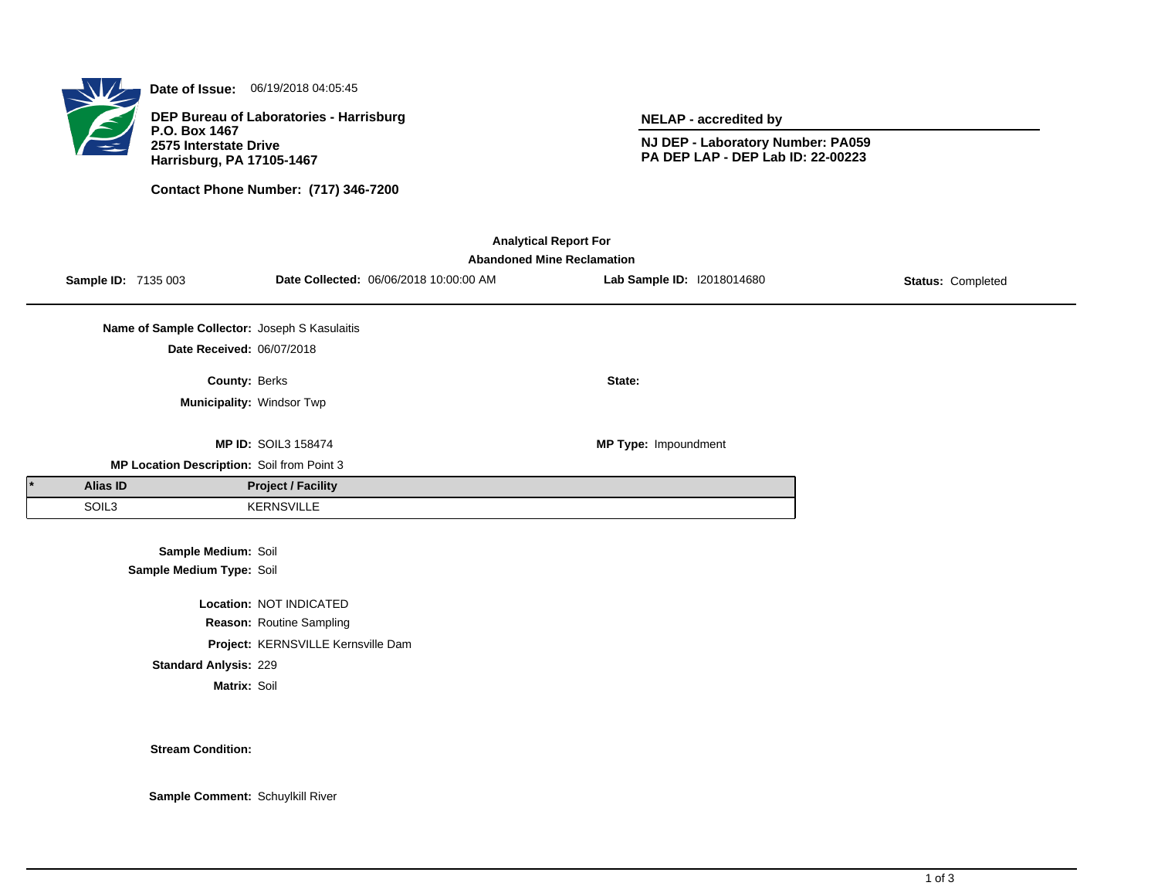

**Date of Issue:** 06/19/2018 04:05:45

**DEP Bureau of Laboratories - Harrisburg P.O. Box 1467 2575 Interstate Drive Harrisburg, PA 17105-1467**

**Contact Phone Number: (717) 346-7200**

**NELAP - accredited by**

**NJ DEP - Laboratory Number: PA059 PA DEP LAP - DEP Lab ID: 22-00223**

| <b>Analytical Report For</b><br><b>Abandoned Mine Reclamation</b> |                            |                                                 |                            |                                        |                            |                   |  |  |  |  |
|-------------------------------------------------------------------|----------------------------|-------------------------------------------------|----------------------------|----------------------------------------|----------------------------|-------------------|--|--|--|--|
|                                                                   | <b>Sample ID: 7135 003</b> |                                                 |                            | Date Collected: 06/06/2018 10:00:00 AM | Lab Sample ID: 12018014680 | Status: Completed |  |  |  |  |
|                                                                   |                            | Name of Sample Collector: Joseph S Kasulaitis   |                            |                                        |                            |                   |  |  |  |  |
|                                                                   |                            | Date Received: 06/07/2018                       |                            |                                        |                            |                   |  |  |  |  |
|                                                                   |                            | County: Berks                                   |                            |                                        | State:                     |                   |  |  |  |  |
|                                                                   |                            | Municipality: Windsor Twp                       |                            |                                        |                            |                   |  |  |  |  |
|                                                                   |                            |                                                 | <b>MP ID: SOIL3 158474</b> |                                        | MP Type: Impoundment       |                   |  |  |  |  |
| MP Location Description: Soil from Point 3                        |                            |                                                 |                            |                                        |                            |                   |  |  |  |  |
|                                                                   | Alias ID                   |                                                 | <b>Project / Facility</b>  |                                        |                            |                   |  |  |  |  |
|                                                                   | SOIL3                      |                                                 | <b>KERNSVILLE</b>          |                                        |                            |                   |  |  |  |  |
|                                                                   |                            | Sample Medium: Soil<br>Sample Medium Type: Soil |                            |                                        |                            |                   |  |  |  |  |
|                                                                   |                            |                                                 | Location: NOT INDICATED    |                                        |                            |                   |  |  |  |  |
| Reason: Routine Sampling                                          |                            |                                                 |                            |                                        |                            |                   |  |  |  |  |
| Project: KERNSVILLE Kernsville Dam                                |                            |                                                 |                            |                                        |                            |                   |  |  |  |  |

**Standard Anlysis:** 229

**Matrix:** Soil

**Stream Condition:**

**Sample Comment:** Schuylkill River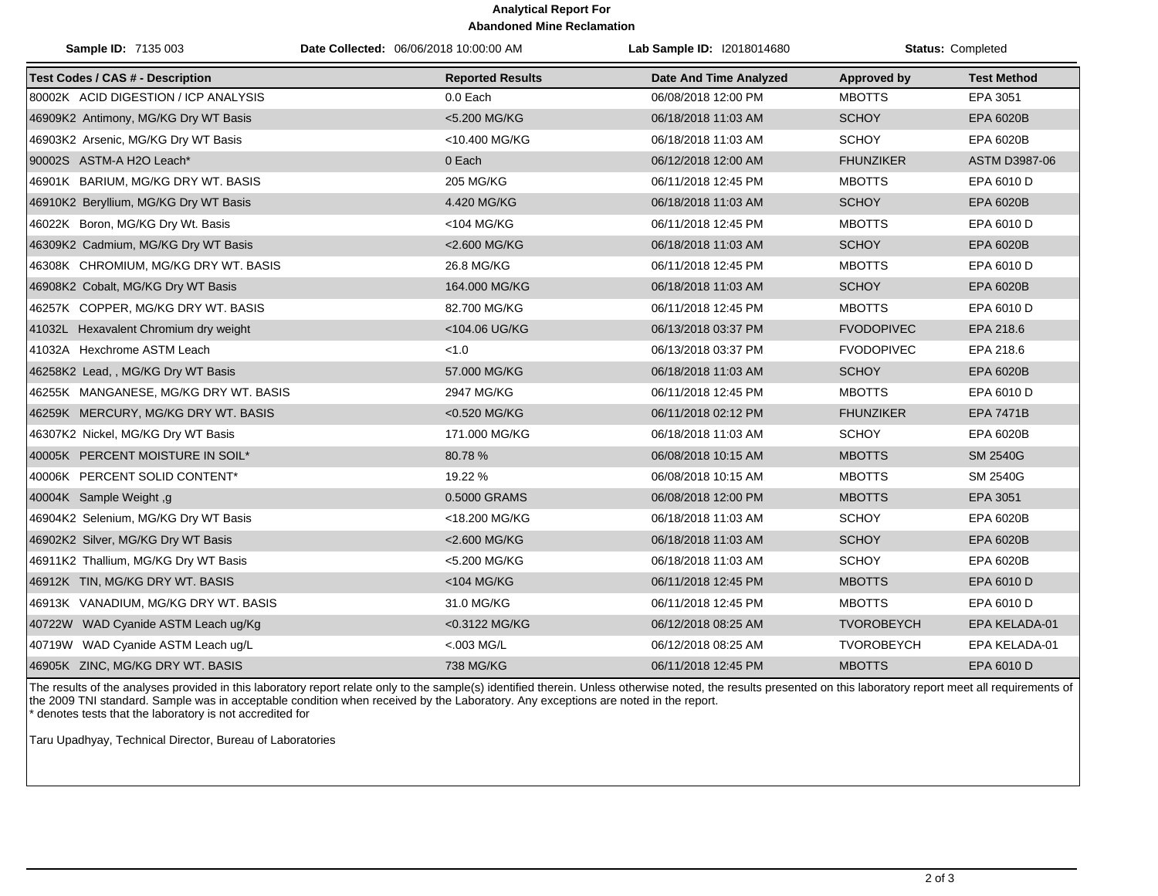## **Analytical Report For Abandoned Mine Reclamation**

| Sample ID: 7135 003                     | Date Collected: 06/06/2018 10:00:00 AM | Lab Sample ID: 12018014680    |                    | Status: Completed  |
|-----------------------------------------|----------------------------------------|-------------------------------|--------------------|--------------------|
| <b>Test Codes / CAS # - Description</b> | <b>Reported Results</b>                | <b>Date And Time Analyzed</b> | <b>Approved by</b> | <b>Test Method</b> |
| 80002K ACID DIGESTION / ICP ANALYSIS    | 0.0 Each                               | 06/08/2018 12:00 PM           | <b>MBOTTS</b>      | EPA 3051           |
| 46909K2 Antimony, MG/KG Dry WT Basis    | <5.200 MG/KG                           | 06/18/2018 11:03 AM           | <b>SCHOY</b>       | EPA 6020B          |
| 46903K2 Arsenic, MG/KG Dry WT Basis     | <10.400 MG/KG                          | 06/18/2018 11:03 AM           | <b>SCHOY</b>       | EPA 6020B          |
| 90002S ASTM-A H2O Leach*                | 0 Each                                 | 06/12/2018 12:00 AM           | <b>FHUNZIKER</b>   | ASTM D3987-06      |
| 46901K BARIUM, MG/KG DRY WT. BASIS      | 205 MG/KG                              | 06/11/2018 12:45 PM           | <b>MBOTTS</b>      | EPA 6010 D         |
| 46910K2 Beryllium, MG/KG Dry WT Basis   | 4.420 MG/KG                            | 06/18/2018 11:03 AM           | <b>SCHOY</b>       | EPA 6020B          |
| 46022K Boron, MG/KG Dry Wt. Basis       | <104 MG/KG                             | 06/11/2018 12:45 PM           | <b>MBOTTS</b>      | EPA 6010 D         |
| 46309K2 Cadmium, MG/KG Dry WT Basis     | <2.600 MG/KG                           | 06/18/2018 11:03 AM           | <b>SCHOY</b>       | EPA 6020B          |
| 46308K CHROMIUM, MG/KG DRY WT. BASIS    | 26.8 MG/KG                             | 06/11/2018 12:45 PM           | <b>MBOTTS</b>      | EPA 6010 D         |
| 46908K2 Cobalt, MG/KG Dry WT Basis      | 164.000 MG/KG                          | 06/18/2018 11:03 AM           | <b>SCHOY</b>       | EPA 6020B          |
| 46257K COPPER, MG/KG DRY WT. BASIS      | 82.700 MG/KG                           | 06/11/2018 12:45 PM           | <b>MBOTTS</b>      | EPA 6010 D         |
| 41032L Hexavalent Chromium dry weight   | <104.06 UG/KG                          | 06/13/2018 03:37 PM           | <b>FVODOPIVEC</b>  | EPA 218.6          |
| 41032A Hexchrome ASTM Leach             | < 1.0                                  | 06/13/2018 03:37 PM           | <b>FVODOPIVEC</b>  | EPA 218.6          |
| 46258K2 Lead, , MG/KG Dry WT Basis      | 57.000 MG/KG                           | 06/18/2018 11:03 AM           | <b>SCHOY</b>       | EPA 6020B          |
| 46255K MANGANESE, MG/KG DRY WT. BASIS   | 2947 MG/KG                             | 06/11/2018 12:45 PM           | <b>MBOTTS</b>      | EPA 6010 D         |
| 46259K MERCURY, MG/KG DRY WT. BASIS     | <0.520 MG/KG                           | 06/11/2018 02:12 PM           | <b>FHUNZIKER</b>   | <b>EPA 7471B</b>   |
| 46307K2 Nickel, MG/KG Dry WT Basis      | 171.000 MG/KG                          | 06/18/2018 11:03 AM           | <b>SCHOY</b>       | EPA 6020B          |
| 40005K PERCENT MOISTURE IN SOIL*        | 80.78%                                 | 06/08/2018 10:15 AM           | <b>MBOTTS</b>      | <b>SM 2540G</b>    |
| 40006K PERCENT SOLID CONTENT*           | 19.22 %                                | 06/08/2018 10:15 AM           | <b>MBOTTS</b>      | SM 2540G           |
| 40004K Sample Weight, g                 | 0.5000 GRAMS                           | 06/08/2018 12:00 PM           | <b>MBOTTS</b>      | EPA 3051           |
| 46904K2 Selenium, MG/KG Dry WT Basis    | <18.200 MG/KG                          | 06/18/2018 11:03 AM           | <b>SCHOY</b>       | EPA 6020B          |
| 46902K2 Silver, MG/KG Dry WT Basis      | <2.600 MG/KG                           | 06/18/2018 11:03 AM           | <b>SCHOY</b>       | EPA 6020B          |
| 46911K2 Thallium, MG/KG Dry WT Basis    | <5.200 MG/KG                           | 06/18/2018 11:03 AM           | <b>SCHOY</b>       | EPA 6020B          |
| 46912K TIN, MG/KG DRY WT. BASIS         | <104 MG/KG                             | 06/11/2018 12:45 PM           | <b>MBOTTS</b>      | EPA 6010 D         |
| 46913K VANADIUM, MG/KG DRY WT. BASIS    | 31.0 MG/KG                             | 06/11/2018 12:45 PM           | <b>MBOTTS</b>      | EPA 6010 D         |
| 40722W WAD Cyanide ASTM Leach ug/Kg     | <0.3122 MG/KG                          | 06/12/2018 08:25 AM           | <b>TVOROBEYCH</b>  | EPA KELADA-01      |
| 40719W WAD Cyanide ASTM Leach ug/L      | $< 003$ MG/L                           | 06/12/2018 08:25 AM           | <b>TVOROBEYCH</b>  | EPA KELADA-01      |
| 46905K ZINC, MG/KG DRY WT. BASIS        | 738 MG/KG                              | 06/11/2018 12:45 PM           | <b>MBOTTS</b>      | EPA 6010 D         |

The results of the analyses provided in this laboratory report relate only to the sample(s) identified therein. Unless otherwise noted, the results presented on this laboratory report meet all requirements of the 2009 TNI standard. Sample was in acceptable condition when received by the Laboratory. Any exceptions are noted in the report. \* denotes tests that the laboratory is not accredited for

Taru Upadhyay, Technical Director, Bureau of Laboratories